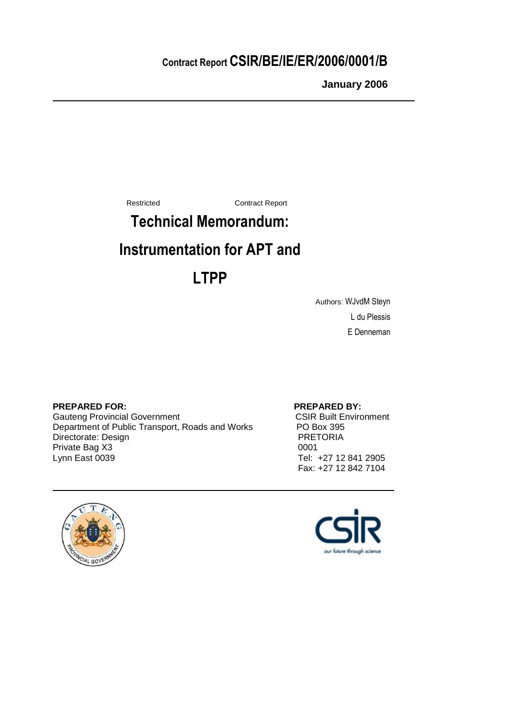# Contract Report CSIR/BE/IE/ER/2006/0001/B

**January 2006**

Restricted Contract Report

# Technical Memorandum:

# Instrumentation for APT and

# LTPP

Authors: WJvdM Steyn L du Plessis E Denneman

### **PREPARED FOR:** PREPARED BY:

Gauteng Provincial Government **CSIR Built Environment** Department of Public Transport, Roads and Works PO Box 395<br>Directorate: Design PRETORIA Directorate: Design PRET<br>
Private Bag X3 0001 Private Bag X3 Lynn East 0039 Tel: +27 12 841 2905

Fax: +27 12 842 7104



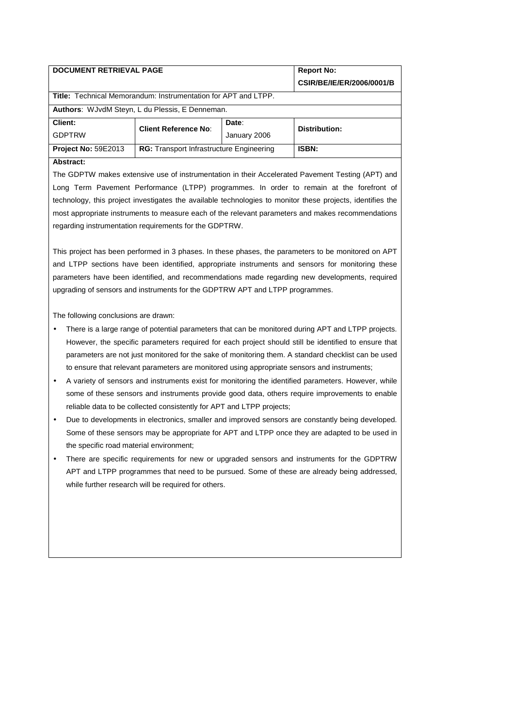|                                                                                               | CSIR/BE/IE/ER/2006/0001/B |  |  |  |  |  |  |
|-----------------------------------------------------------------------------------------------|---------------------------|--|--|--|--|--|--|
| Title: Technical Memorandum: Instrumentation for APT and LTPP.                                |                           |  |  |  |  |  |  |
| <b>Authors:</b> WJvdM Steyn, L du Plessis, E Denneman.                                        |                           |  |  |  |  |  |  |
| Client:<br>Date:<br><b>Client Reference No:</b>                                               | Distribution:             |  |  |  |  |  |  |
| <b>GDPTRW</b><br>January 2006                                                                 |                           |  |  |  |  |  |  |
| <b>Project No: 59E2013</b><br><b>ISBN:</b><br><b>RG:</b> Transport Infrastructure Engineering |                           |  |  |  |  |  |  |

#### **Abstract:**

The GDPTW makes extensive use of instrumentation in their Accelerated Pavement Testing (APT) and Long Term Pavement Performance (LTPP) programmes. In order to remain at the forefront of technology, this project investigates the available technologies to monitor these projects, identifies the most appropriate instruments to measure each of the relevant parameters and makes recommendations regarding instrumentation requirements for the GDPTRW.

This project has been performed in 3 phases. In these phases, the parameters to be monitored on APT and LTPP sections have been identified, appropriate instruments and sensors for monitoring these parameters have been identified, and recommendations made regarding new developments, required upgrading of sensors and instruments for the GDPTRW APT and LTPP programmes.

The following conclusions are drawn:

- There is a large range of potential parameters that can be monitored during APT and LTPP projects. However, the specific parameters required for each project should still be identified to ensure that parameters are not just monitored for the sake of monitoring them. A standard checklist can be used to ensure that relevant parameters are monitored using appropriate sensors and instruments;
- A variety of sensors and instruments exist for monitoring the identified parameters. However, while some of these sensors and instruments provide good data, others require improvements to enable reliable data to be collected consistently for APT and LTPP projects;
- Due to developments in electronics, smaller and improved sensors are constantly being developed. Some of these sensors may be appropriate for APT and LTPP once they are adapted to be used in the specific road material environment;
- There are specific requirements for new or upgraded sensors and instruments for the GDPTRW APT and LTPP programmes that need to be pursued. Some of these are already being addressed, while further research will be required for others.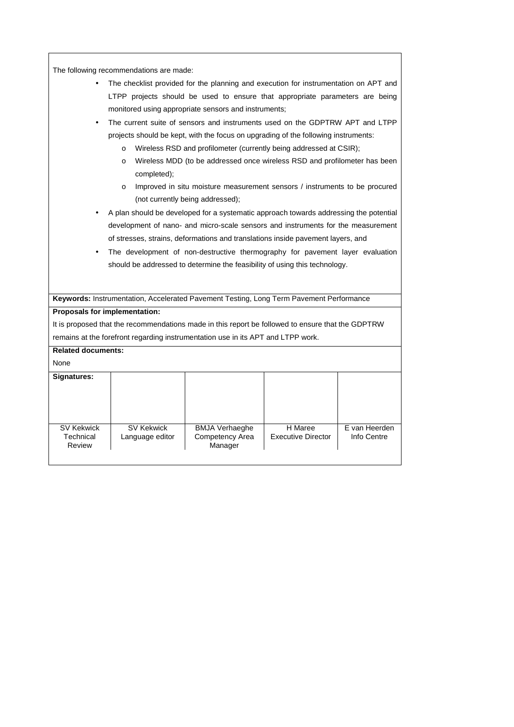| The following recommendations are made:                                                           |                                                                                      |                                                                                       |                           |               |  |  |
|---------------------------------------------------------------------------------------------------|--------------------------------------------------------------------------------------|---------------------------------------------------------------------------------------|---------------------------|---------------|--|--|
|                                                                                                   | The checklist provided for the planning and execution for instrumentation on APT and |                                                                                       |                           |               |  |  |
|                                                                                                   |                                                                                      | LTPP projects should be used to ensure that appropriate parameters are being          |                           |               |  |  |
|                                                                                                   |                                                                                      | monitored using appropriate sensors and instruments;                                  |                           |               |  |  |
|                                                                                                   |                                                                                      |                                                                                       |                           |               |  |  |
|                                                                                                   |                                                                                      | The current suite of sensors and instruments used on the GDPTRW APT and LTPP          |                           |               |  |  |
|                                                                                                   |                                                                                      | projects should be kept, with the focus on upgrading of the following instruments:    |                           |               |  |  |
|                                                                                                   | $\circ$                                                                              | Wireless RSD and profilometer (currently being addressed at CSIR);                    |                           |               |  |  |
|                                                                                                   | $\circ$<br>completed);                                                               | Wireless MDD (to be addressed once wireless RSD and profilometer has been             |                           |               |  |  |
|                                                                                                   | $\circ$                                                                              | Improved in situ moisture measurement sensors / instruments to be procured            |                           |               |  |  |
|                                                                                                   |                                                                                      | (not currently being addressed);                                                      |                           |               |  |  |
|                                                                                                   |                                                                                      | A plan should be developed for a systematic approach towards addressing the potential |                           |               |  |  |
|                                                                                                   |                                                                                      | development of nano- and micro-scale sensors and instruments for the measurement      |                           |               |  |  |
|                                                                                                   |                                                                                      | of stresses, strains, deformations and translations inside pavement layers, and       |                           |               |  |  |
|                                                                                                   |                                                                                      | The development of non-destructive thermography for pavement layer evaluation         |                           |               |  |  |
|                                                                                                   |                                                                                      |                                                                                       |                           |               |  |  |
|                                                                                                   | should be addressed to determine the feasibility of using this technology.           |                                                                                       |                           |               |  |  |
|                                                                                                   |                                                                                      |                                                                                       |                           |               |  |  |
| Keywords: Instrumentation, Accelerated Pavement Testing, Long Term Pavement Performance           |                                                                                      |                                                                                       |                           |               |  |  |
| Proposals for implementation:                                                                     |                                                                                      |                                                                                       |                           |               |  |  |
| It is proposed that the recommendations made in this report be followed to ensure that the GDPTRW |                                                                                      |                                                                                       |                           |               |  |  |
|                                                                                                   |                                                                                      | remains at the forefront regarding instrumentation use in its APT and LTPP work.      |                           |               |  |  |
| <b>Related documents:</b>                                                                         |                                                                                      |                                                                                       |                           |               |  |  |
| None                                                                                              |                                                                                      |                                                                                       |                           |               |  |  |
| Signatures:                                                                                       |                                                                                      |                                                                                       |                           |               |  |  |
|                                                                                                   |                                                                                      |                                                                                       |                           |               |  |  |
|                                                                                                   |                                                                                      |                                                                                       |                           |               |  |  |
|                                                                                                   |                                                                                      |                                                                                       |                           |               |  |  |
| <b>SV Kekwick</b>                                                                                 | <b>SV Kekwick</b>                                                                    | <b>BMJA Verhaeghe</b>                                                                 | H Maree                   | E van Heerden |  |  |
| Technical<br>Review                                                                               | Language editor                                                                      | Competency Area<br>Manager                                                            | <b>Executive Director</b> | Info Centre   |  |  |
|                                                                                                   |                                                                                      |                                                                                       |                           |               |  |  |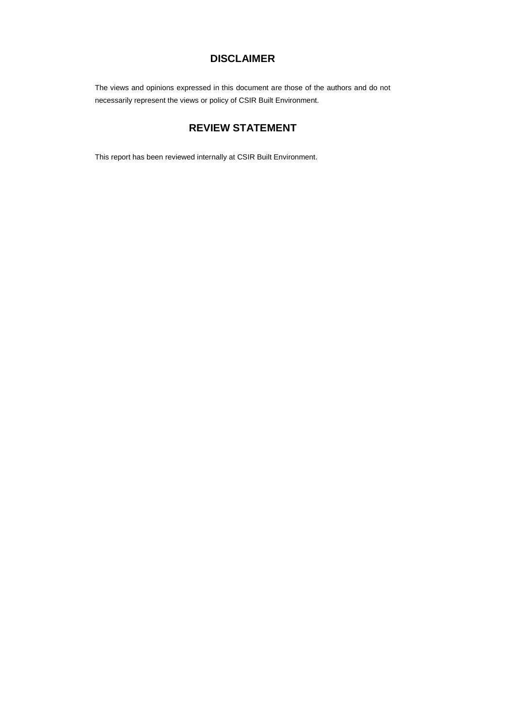### **DISCLAIMER**

The views and opinions expressed in this document are those of the authors and do not necessarily represent the views or policy of CSIR Built Environment.

### **REVIEW STATEMENT**

This report has been reviewed internally at CSIR Built Environment.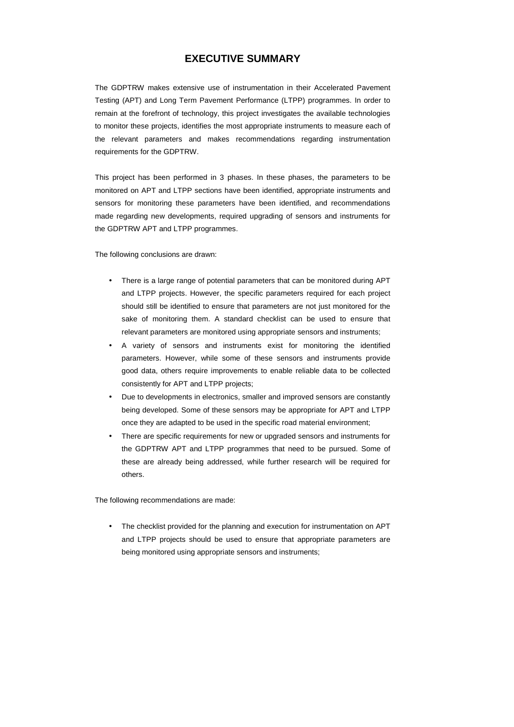### **EXECUTIVE SUMMARY**

The GDPTRW makes extensive use of instrumentation in their Accelerated Pavement Testing (APT) and Long Term Pavement Performance (LTPP) programmes. In order to remain at the forefront of technology, this project investigates the available technologies to monitor these projects, identifies the most appropriate instruments to measure each of the relevant parameters and makes recommendations regarding instrumentation requirements for the GDPTRW.

This project has been performed in 3 phases. In these phases, the parameters to be monitored on APT and LTPP sections have been identified, appropriate instruments and sensors for monitoring these parameters have been identified, and recommendations made regarding new developments, required upgrading of sensors and instruments for the GDPTRW APT and LTPP programmes.

The following conclusions are drawn:

- There is a large range of potential parameters that can be monitored during APT and LTPP projects. However, the specific parameters required for each project should still be identified to ensure that parameters are not just monitored for the sake of monitoring them. A standard checklist can be used to ensure that relevant parameters are monitored using appropriate sensors and instruments;
- A variety of sensors and instruments exist for monitoring the identified parameters. However, while some of these sensors and instruments provide good data, others require improvements to enable reliable data to be collected consistently for APT and LTPP projects;
- Due to developments in electronics, smaller and improved sensors are constantly being developed. Some of these sensors may be appropriate for APT and LTPP once they are adapted to be used in the specific road material environment;
- There are specific requirements for new or upgraded sensors and instruments for the GDPTRW APT and LTPP programmes that need to be pursued. Some of these are already being addressed, while further research will be required for others.

The following recommendations are made:

• The checklist provided for the planning and execution for instrumentation on APT and LTPP projects should be used to ensure that appropriate parameters are being monitored using appropriate sensors and instruments;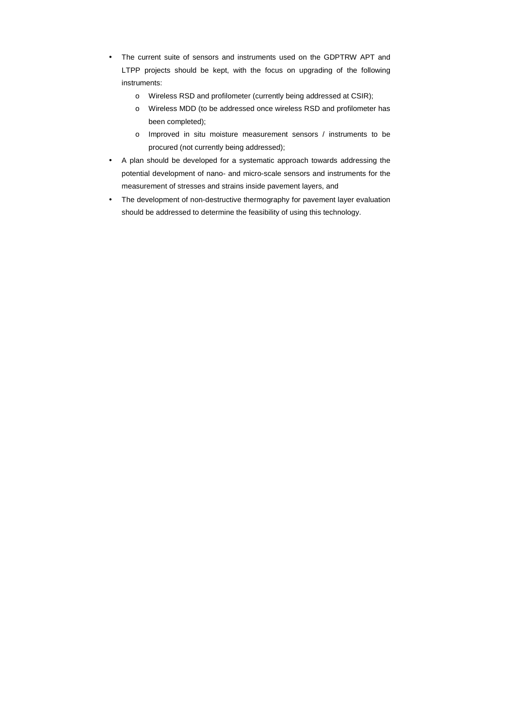- The current suite of sensors and instruments used on the GDPTRW APT and LTPP projects should be kept, with the focus on upgrading of the following instruments:
	- o Wireless RSD and profilometer (currently being addressed at CSIR);
	- o Wireless MDD (to be addressed once wireless RSD and profilometer has been completed);
	- o Improved in situ moisture measurement sensors / instruments to be procured (not currently being addressed);
- A plan should be developed for a systematic approach towards addressing the potential development of nano- and micro-scale sensors and instruments for the measurement of stresses and strains inside pavement layers, and
- The development of non-destructive thermography for pavement layer evaluation should be addressed to determine the feasibility of using this technology.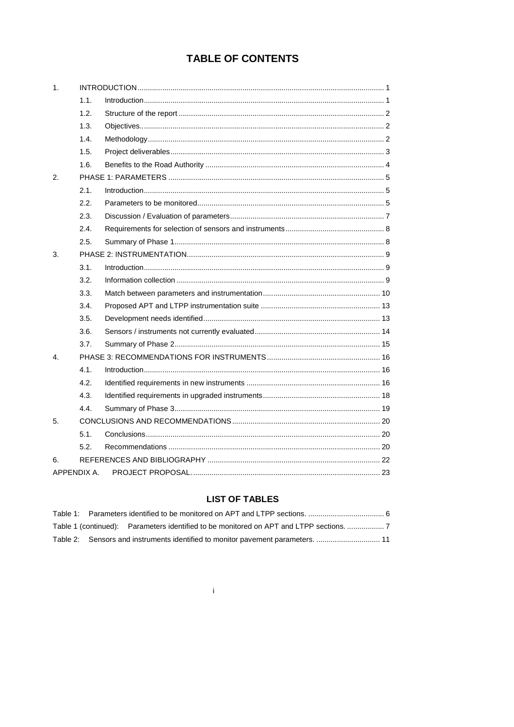## **TABLE OF CONTENTS**

| 1.           |             |  |
|--------------|-------------|--|
|              | 1.1.        |  |
|              | 1.2.        |  |
|              | 1.3.        |  |
|              | 1.4.        |  |
|              | 1.5.        |  |
|              | 1.6.        |  |
| 2.5          |             |  |
|              | 2.1.        |  |
|              | 2.2.        |  |
|              | 2.3.        |  |
|              | 2.4.        |  |
|              | 2.5.        |  |
| 3.           |             |  |
|              | 3.1.        |  |
|              | 3.2.        |  |
|              | 3.3.        |  |
|              | 3.4.        |  |
|              | 3.5.        |  |
|              | 3.6.        |  |
|              | 3.7.        |  |
| $\mathbf{4}$ |             |  |
|              | 4.1.        |  |
|              | 4.2.        |  |
|              | 4.3.        |  |
|              | 4.4         |  |
| 5.           |             |  |
|              | 5.1.        |  |
|              | 5.2.        |  |
| 6.           |             |  |
|              | APPENDIX A. |  |

### **LIST OF TABLES**

|  | Table 1 (continued): Parameters identified to be monitored on APT and LTPP sections. |  |
|--|--------------------------------------------------------------------------------------|--|
|  | Table 2: Sensors and instruments identified to monitor payement parameters.  11      |  |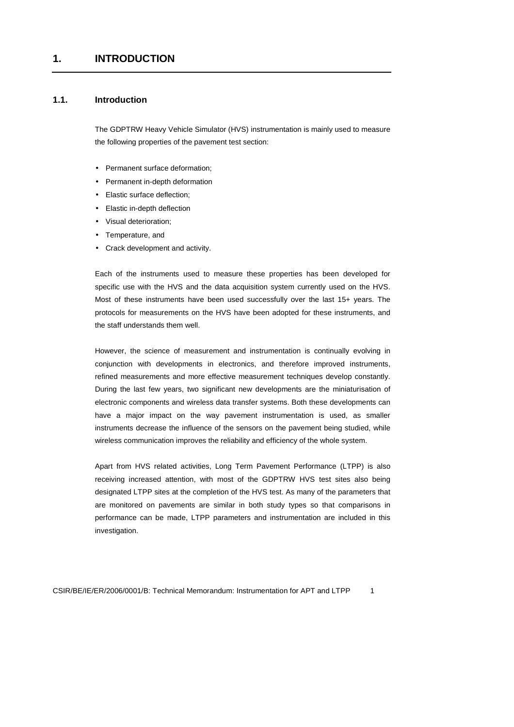### **1.1. Introduction**

The GDPTRW Heavy Vehicle Simulator (HVS) instrumentation is mainly used to measure the following properties of the pavement test section:

- Permanent surface deformation;
- Permanent in-depth deformation
- Elastic surface deflection:
- Elastic in-depth deflection
- Visual deterioration;
- Temperature, and
- Crack development and activity.

Each of the instruments used to measure these properties has been developed for specific use with the HVS and the data acquisition system currently used on the HVS. Most of these instruments have been used successfully over the last 15+ years. The protocols for measurements on the HVS have been adopted for these instruments, and the staff understands them well.

However, the science of measurement and instrumentation is continually evolving in conjunction with developments in electronics, and therefore improved instruments, refined measurements and more effective measurement techniques develop constantly. During the last few years, two significant new developments are the miniaturisation of electronic components and wireless data transfer systems. Both these developments can have a major impact on the way pavement instrumentation is used, as smaller instruments decrease the influence of the sensors on the pavement being studied, while wireless communication improves the reliability and efficiency of the whole system.

Apart from HVS related activities, Long Term Pavement Performance (LTPP) is also receiving increased attention, with most of the GDPTRW HVS test sites also being designated LTPP sites at the completion of the HVS test. As many of the parameters that are monitored on pavements are similar in both study types so that comparisons in performance can be made, LTPP parameters and instrumentation are included in this investigation.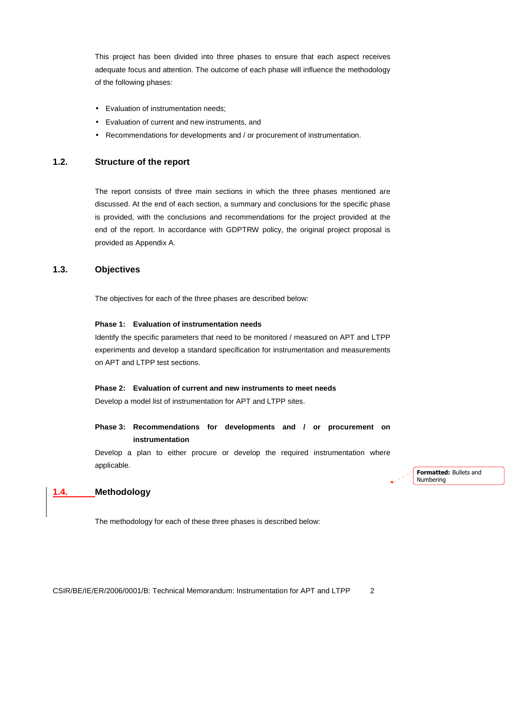This project has been divided into three phases to ensure that each aspect receives adequate focus and attention. The outcome of each phase will influence the methodology of the following phases:

- Evaluation of instrumentation needs;
- Evaluation of current and new instruments, and
- Recommendations for developments and / or procurement of instrumentation.

#### **1.2. Structure of the report**

The report consists of three main sections in which the three phases mentioned are discussed. At the end of each section, a summary and conclusions for the specific phase is provided, with the conclusions and recommendations for the project provided at the end of the report. In accordance with GDPTRW policy, the original project proposal is provided as Appendix A.

### **1.3. Objectives**

The objectives for each of the three phases are described below:

#### **Phase 1: Evaluation of instrumentation needs**

Identify the specific parameters that need to be monitored / measured on APT and LTPP experiments and develop a standard specification for instrumentation and measurements on APT and LTPP test sections.

#### **Phase 2: Evaluation of current and new instruments to meet needs**

Develop a model list of instrumentation for APT and LTPP sites.

#### **Phase 3: Recommendations for developments and / or procurement on instrumentation**

Develop a plan to either procure or develop the required instrumentation where applicable.

Formatted: Bullets and Numbering

#### **1.4. Methodology**

The methodology for each of these three phases is described below: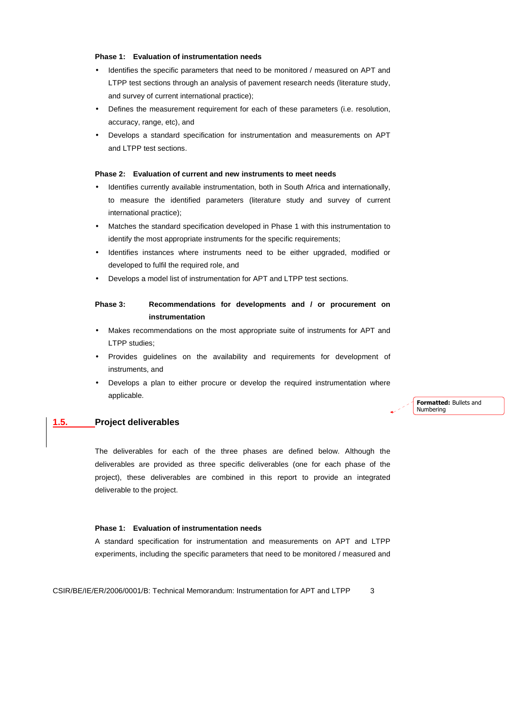#### **Phase 1: Evaluation of instrumentation needs**

- Identifies the specific parameters that need to be monitored / measured on APT and LTPP test sections through an analysis of pavement research needs (literature study, and survey of current international practice);
- Defines the measurement requirement for each of these parameters (i.e. resolution, accuracy, range, etc), and
- Develops a standard specification for instrumentation and measurements on APT and LTPP test sections.

#### **Phase 2: Evaluation of current and new instruments to meet needs**

- Identifies currently available instrumentation, both in South Africa and internationally, to measure the identified parameters (literature study and survey of current international practice);
- Matches the standard specification developed in Phase 1 with this instrumentation to identify the most appropriate instruments for the specific requirements;
- Identifies instances where instruments need to be either upgraded, modified or developed to fulfil the required role, and
- Develops a model list of instrumentation for APT and LTPP test sections.

#### **Phase 3: Recommendations for developments and / or procurement on instrumentation**

- Makes recommendations on the most appropriate suite of instruments for APT and LTPP studies;
- Provides guidelines on the availability and requirements for development of instruments, and
- Develops a plan to either procure or develop the required instrumentation where applicable.

#### **1.5. Project deliverables**

The deliverables for each of the three phases are defined below. Although the deliverables are provided as three specific deliverables (one for each phase of the project), these deliverables are combined in this report to provide an integrated deliverable to the project.

#### **Phase 1: Evaluation of instrumentation needs**

A standard specification for instrumentation and measurements on APT and LTPP experiments, including the specific parameters that need to be monitored / measured and

CSIR/BE/IE/ER/2006/0001/B: Technical Memorandum: Instrumentation for APT and LTPP 3

Formatted: Bullets and Numbering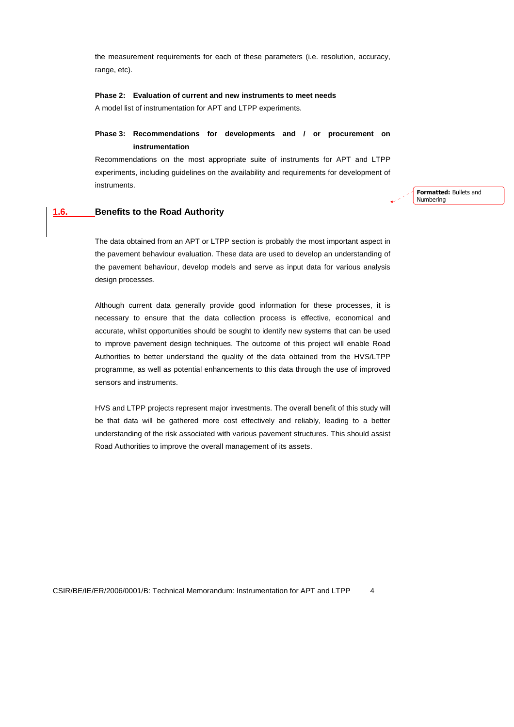the measurement requirements for each of these parameters (i.e. resolution, accuracy, range, etc).

#### **Phase 2: Evaluation of current and new instruments to meet needs**

A model list of instrumentation for APT and LTPP experiments.

### **Phase 3: Recommendations for developments and / or procurement on instrumentation**

Recommendations on the most appropriate suite of instruments for APT and LTPP experiments, including guidelines on the availability and requirements for development of instruments.

#### **1.6. Benefits to the Road Authority**

The data obtained from an APT or LTPP section is probably the most important aspect in the pavement behaviour evaluation. These data are used to develop an understanding of the pavement behaviour, develop models and serve as input data for various analysis design processes.

Although current data generally provide good information for these processes, it is necessary to ensure that the data collection process is effective, economical and accurate, whilst opportunities should be sought to identify new systems that can be used to improve pavement design techniques. The outcome of this project will enable Road Authorities to better understand the quality of the data obtained from the HVS/LTPP programme, as well as potential enhancements to this data through the use of improved sensors and instruments.

HVS and LTPP projects represent major investments. The overall benefit of this study will be that data will be gathered more cost effectively and reliably, leading to a better understanding of the risk associated with various pavement structures. This should assist Road Authorities to improve the overall management of its assets.

Formatted: Bullets and Numbering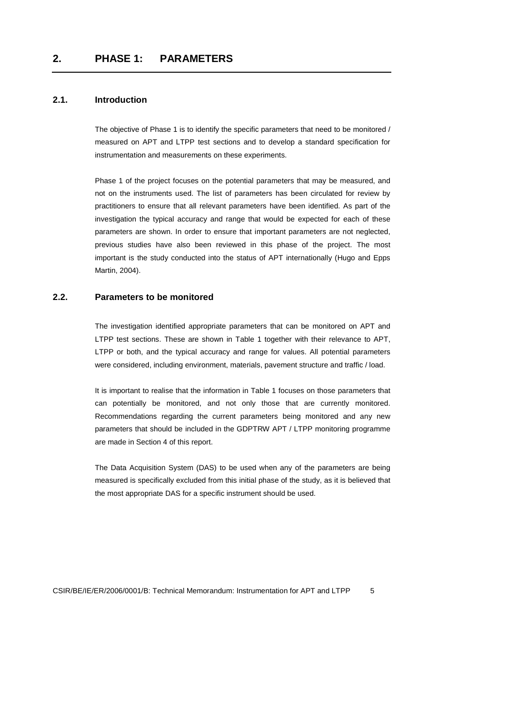### **2.1. Introduction**

The objective of Phase 1 is to identify the specific parameters that need to be monitored / measured on APT and LTPP test sections and to develop a standard specification for instrumentation and measurements on these experiments.

Phase 1 of the project focuses on the potential parameters that may be measured, and not on the instruments used. The list of parameters has been circulated for review by practitioners to ensure that all relevant parameters have been identified. As part of the investigation the typical accuracy and range that would be expected for each of these parameters are shown. In order to ensure that important parameters are not neglected, previous studies have also been reviewed in this phase of the project. The most important is the study conducted into the status of APT internationally (Hugo and Epps Martin, 2004).

#### **2.2. Parameters to be monitored**

The investigation identified appropriate parameters that can be monitored on APT and LTPP test sections. These are shown in Table 1 together with their relevance to APT, LTPP or both, and the typical accuracy and range for values. All potential parameters were considered, including environment, materials, pavement structure and traffic / load.

It is important to realise that the information in Table 1 focuses on those parameters that can potentially be monitored, and not only those that are currently monitored. Recommendations regarding the current parameters being monitored and any new parameters that should be included in the GDPTRW APT / LTPP monitoring programme are made in Section 4 of this report.

The Data Acquisition System (DAS) to be used when any of the parameters are being measured is specifically excluded from this initial phase of the study, as it is believed that the most appropriate DAS for a specific instrument should be used.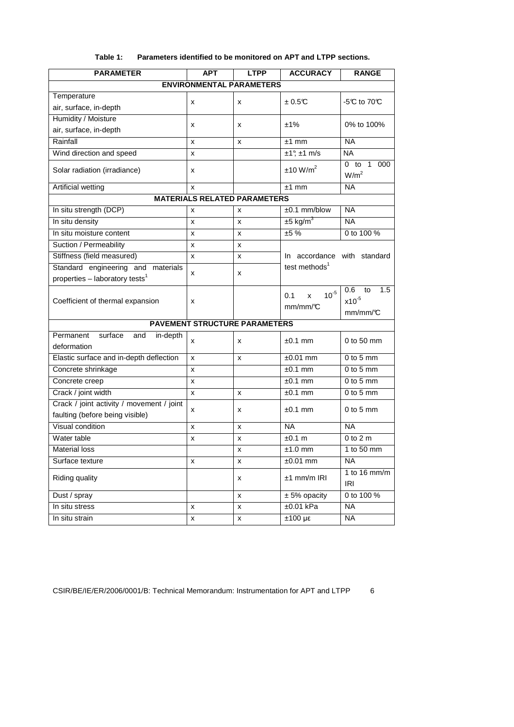| <b>PARAMETER</b>                                                             | APT | <b>LTPP</b>                          | <b>ACCURACY</b>                  | <b>RANGE</b>                                      |
|------------------------------------------------------------------------------|-----|--------------------------------------|----------------------------------|---------------------------------------------------|
|                                                                              |     | <b>ENVIRONMENTAL PARAMETERS</b>      |                                  |                                                   |
| Temperature                                                                  |     |                                      | ±0.5C                            | -5℃ to 70℃                                        |
| air, surface, in-depth                                                       | x   | x                                    |                                  |                                                   |
| Humidity / Moisture                                                          |     |                                      | ±1%                              |                                                   |
| air, surface, in-depth                                                       | x   | x                                    |                                  | 0% to 100%                                        |
| Rainfall                                                                     | X   | X                                    | $±1$ mm                          | <b>NA</b>                                         |
| Wind direction and speed                                                     | x   |                                      | $±1^\circ$ ; ±1 m/s              | <b>NA</b>                                         |
| Solar radiation (irradiance)                                                 | x   |                                      | ±10 W/m <sup>2</sup>             | $0$ to<br>$\mathbf{1}$<br>000<br>W/m <sup>2</sup> |
| <b>Artificial wetting</b>                                                    | x   |                                      | $±1$ mm                          | <b>NA</b>                                         |
|                                                                              |     | <b>MATERIALS RELATED PARAMETERS</b>  |                                  |                                                   |
| In situ strength (DCP)                                                       | х   | x                                    | $±0.1$ mm/blow                   | <b>NA</b>                                         |
| In situ density                                                              | x   | x                                    | $±5$ kg/m <sup>3</sup>           | <b>NA</b>                                         |
| In situ moisture content                                                     | x   | x                                    | ±5%                              | 0 to 100 %                                        |
| Suction / Permeability                                                       | X   | x                                    |                                  |                                                   |
| Stiffness (field measured)                                                   | X   | x                                    | In accordance with standard      |                                                   |
| Standard engineering and materials                                           |     |                                      | test methods <sup>1</sup>        |                                                   |
| properties - laboratory tests <sup>1</sup>                                   | x   | X                                    |                                  |                                                   |
| Coefficient of thermal expansion                                             | X   |                                      | $10^{-5}$<br>0.1<br>x<br>mm/mm/C | 0.6<br>1.5<br>to<br>$x10^{-5}$<br>mm/mm/°C        |
|                                                                              |     | <b>PAVEMENT STRUCTURE PARAMETERS</b> |                                  |                                                   |
| Permanent<br>surface<br>in-depth<br>and<br>deformation                       | x   | x                                    | $±0.1$ mm                        | 0 to 50 mm                                        |
| Elastic surface and in-depth deflection                                      | x   | x                                    | $±0.01$ mm                       | $0$ to $5$ mm                                     |
| Concrete shrinkage                                                           | X   |                                      | $±0.1$ mm                        | $0$ to $5$ mm                                     |
| Concrete creep                                                               | x   |                                      | $±0.1$ mm                        | $0$ to $5$ mm                                     |
| Crack / joint width                                                          | X   | x                                    | $±0.1$ mm                        | $0$ to 5 mm                                       |
| Crack / joint activity / movement / joint<br>faulting (before being visible) | x   | x                                    | $±0.1$ mm                        | $0$ to 5 mm                                       |
| Visual condition                                                             | x   | x                                    | <b>NA</b>                        | <b>NA</b>                                         |
| Water table                                                                  | x   | x                                    | ±0.1 m                           | $0$ to $2m$                                       |
| <b>Material loss</b>                                                         |     | x                                    | $±1.0$ mm                        | 1 to 50 mm                                        |
| Surface texture                                                              | х   | x                                    | $±0.01$ mm                       | <b>NA</b>                                         |
| Riding quality                                                               |     | x                                    | $±1$ mm/m IRI                    | 1 to 16 $mm/m$<br><b>IRI</b>                      |
| Dust / spray                                                                 |     | x                                    | $± 5%$ opacity                   | 0 to 100 %                                        |
| In situ stress                                                               | x   | x                                    | $±0.01$ kPa                      | <b>NA</b>                                         |
| In situ strain                                                               | x   | x                                    | $±100 \mu\epsilon$               | <b>NA</b>                                         |

### **Table 1: Parameters identified to be monitored on APT and LTPP sections.**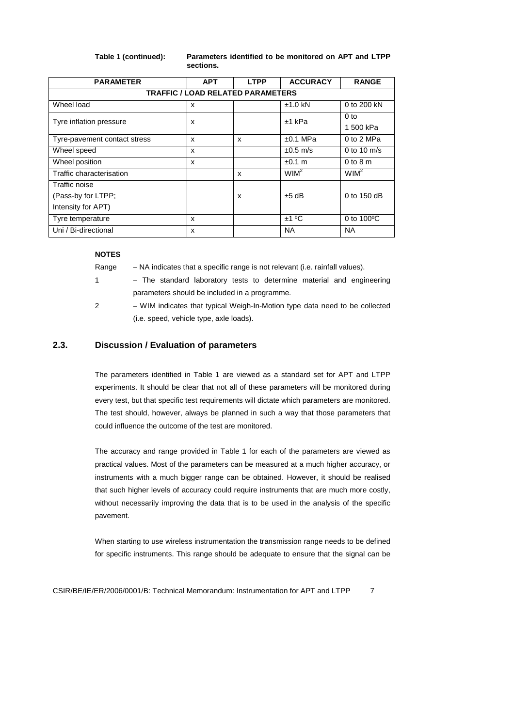**Table 1 (continued): Parameters identified to be monitored on APT and LTPP sections.** 

| <b>PARAMETER</b>             | <b>APT</b>                               | <b>LTPP</b> | <b>ACCURACY</b>  | <b>RANGE</b>         |  |  |  |
|------------------------------|------------------------------------------|-------------|------------------|----------------------|--|--|--|
|                              | <b>TRAFFIC / LOAD RELATED PARAMETERS</b> |             |                  |                      |  |  |  |
| Wheel load                   | x                                        |             | $±1.0$ kN        | 0 to 200 kN          |  |  |  |
| Tyre inflation pressure      | x                                        |             | $±1$ kPa         | 0 <sub>to</sub>      |  |  |  |
|                              |                                          |             |                  | 1 500 kPa            |  |  |  |
| Tyre-pavement contact stress | x                                        | x           | $±0.1$ MPa       | 0 to 2 MPa           |  |  |  |
| Wheel speed                  | X                                        |             | $\pm 0.5$ m/s    | 0 to 10 $m/s$        |  |  |  |
| Wheel position               | X                                        |             | ±0.1 m           | $0$ to $8$ m         |  |  |  |
| Traffic characterisation     |                                          | x           | WIM <sup>2</sup> | $WIM^2$              |  |  |  |
| Traffic noise                |                                          |             |                  |                      |  |  |  |
| (Pass-by for LTPP;           |                                          | x           | $±5$ dB          | 0 to 150 dB          |  |  |  |
| Intensity for APT)           |                                          |             |                  |                      |  |  |  |
| Tyre temperature             | X                                        |             | ±1 °C            | 0 to $100^{\circ}$ C |  |  |  |
| Uni / Bi-directional         | x                                        |             | <b>NA</b>        | <b>NA</b>            |  |  |  |

**NOTES** 

Range – NA indicates that a specific range is not relevant (i.e. rainfall values).

- 1 The standard laboratory tests to determine material and engineering parameters should be included in a programme.
- 2 WIM indicates that typical Weigh-In-Motion type data need to be collected (i.e. speed, vehicle type, axle loads).

#### **2.3. Discussion / Evaluation of parameters**

The parameters identified in Table 1 are viewed as a standard set for APT and LTPP experiments. It should be clear that not all of these parameters will be monitored during every test, but that specific test requirements will dictate which parameters are monitored. The test should, however, always be planned in such a way that those parameters that could influence the outcome of the test are monitored.

The accuracy and range provided in Table 1 for each of the parameters are viewed as practical values. Most of the parameters can be measured at a much higher accuracy, or instruments with a much bigger range can be obtained. However, it should be realised that such higher levels of accuracy could require instruments that are much more costly, without necessarily improving the data that is to be used in the analysis of the specific pavement.

When starting to use wireless instrumentation the transmission range needs to be defined for specific instruments. This range should be adequate to ensure that the signal can be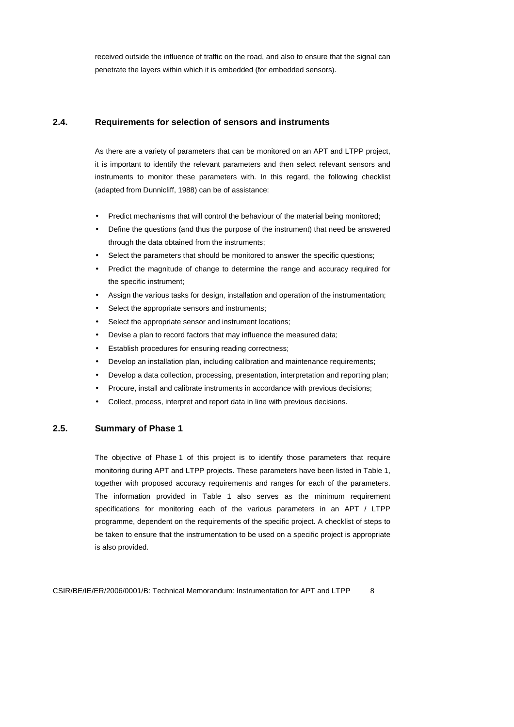received outside the influence of traffic on the road, and also to ensure that the signal can penetrate the layers within which it is embedded (for embedded sensors).

### **2.4. Requirements for selection of sensors and instruments**

As there are a variety of parameters that can be monitored on an APT and LTPP project, it is important to identify the relevant parameters and then select relevant sensors and instruments to monitor these parameters with. In this regard, the following checklist (adapted from Dunnicliff, 1988) can be of assistance:

- Predict mechanisms that will control the behaviour of the material being monitored;
- Define the questions (and thus the purpose of the instrument) that need be answered through the data obtained from the instruments;
- Select the parameters that should be monitored to answer the specific questions;
- Predict the magnitude of change to determine the range and accuracy required for the specific instrument;
- Assign the various tasks for design, installation and operation of the instrumentation;
- Select the appropriate sensors and instruments:
- Select the appropriate sensor and instrument locations;
- Devise a plan to record factors that may influence the measured data;
- Establish procedures for ensuring reading correctness;
- Develop an installation plan, including calibration and maintenance requirements;
- Develop a data collection, processing, presentation, interpretation and reporting plan;
- Procure, install and calibrate instruments in accordance with previous decisions;
- Collect, process, interpret and report data in line with previous decisions.

#### **2.5. Summary of Phase 1**

The objective of Phase 1 of this project is to identify those parameters that require monitoring during APT and LTPP projects. These parameters have been listed in Table 1, together with proposed accuracy requirements and ranges for each of the parameters. The information provided in Table 1 also serves as the minimum requirement specifications for monitoring each of the various parameters in an APT / LTPP programme, dependent on the requirements of the specific project. A checklist of steps to be taken to ensure that the instrumentation to be used on a specific project is appropriate is also provided.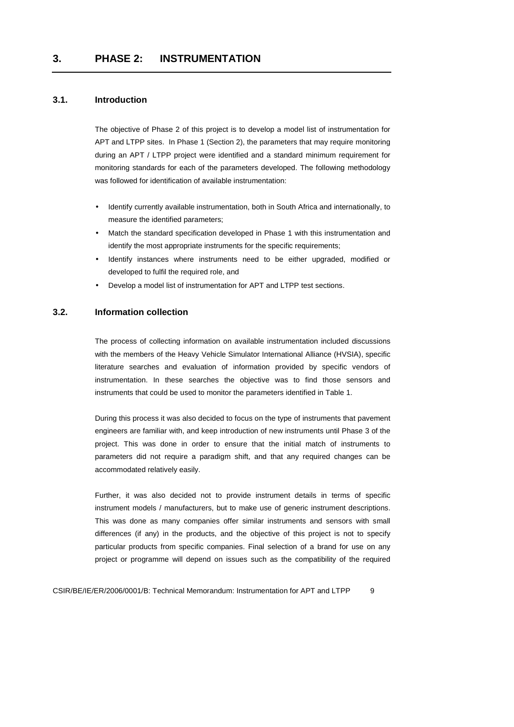### **3.1. Introduction**

The objective of Phase 2 of this project is to develop a model list of instrumentation for APT and LTPP sites. In Phase 1 (Section 2), the parameters that may require monitoring during an APT / LTPP project were identified and a standard minimum requirement for monitoring standards for each of the parameters developed. The following methodology was followed for identification of available instrumentation:

- Identify currently available instrumentation, both in South Africa and internationally, to measure the identified parameters;
- Match the standard specification developed in Phase 1 with this instrumentation and identify the most appropriate instruments for the specific requirements;
- Identify instances where instruments need to be either upgraded, modified or developed to fulfil the required role, and
- Develop a model list of instrumentation for APT and LTPP test sections.

#### **3.2. Information collection**

The process of collecting information on available instrumentation included discussions with the members of the Heavy Vehicle Simulator International Alliance (HVSIA), specific literature searches and evaluation of information provided by specific vendors of instrumentation. In these searches the objective was to find those sensors and instruments that could be used to monitor the parameters identified in Table 1.

During this process it was also decided to focus on the type of instruments that pavement engineers are familiar with, and keep introduction of new instruments until Phase 3 of the project. This was done in order to ensure that the initial match of instruments to parameters did not require a paradigm shift, and that any required changes can be accommodated relatively easily.

Further, it was also decided not to provide instrument details in terms of specific instrument models / manufacturers, but to make use of generic instrument descriptions. This was done as many companies offer similar instruments and sensors with small differences (if any) in the products, and the objective of this project is not to specify particular products from specific companies. Final selection of a brand for use on any project or programme will depend on issues such as the compatibility of the required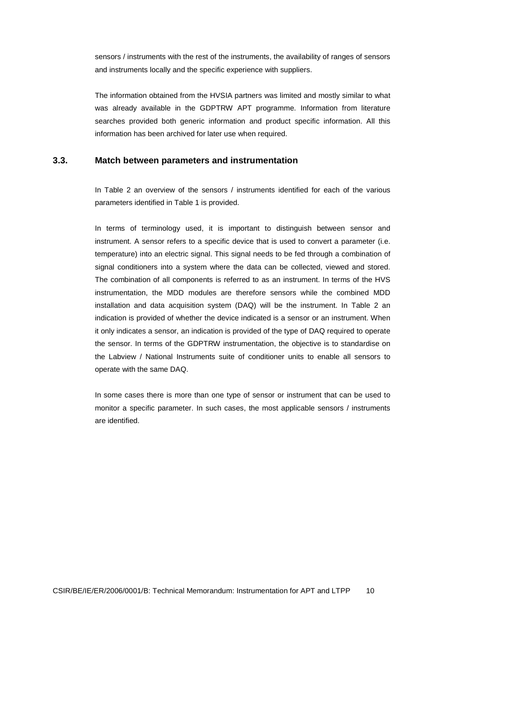sensors / instruments with the rest of the instruments, the availability of ranges of sensors and instruments locally and the specific experience with suppliers.

The information obtained from the HVSIA partners was limited and mostly similar to what was already available in the GDPTRW APT programme. Information from literature searches provided both generic information and product specific information. All this information has been archived for later use when required.

#### **3.3. Match between parameters and instrumentation**

In Table 2 an overview of the sensors / instruments identified for each of the various parameters identified in Table 1 is provided.

In terms of terminology used, it is important to distinguish between sensor and instrument. A sensor refers to a specific device that is used to convert a parameter (i.e. temperature) into an electric signal. This signal needs to be fed through a combination of signal conditioners into a system where the data can be collected, viewed and stored. The combination of all components is referred to as an instrument. In terms of the HVS instrumentation, the MDD modules are therefore sensors while the combined MDD installation and data acquisition system (DAQ) will be the instrument. In Table 2 an indication is provided of whether the device indicated is a sensor or an instrument. When it only indicates a sensor, an indication is provided of the type of DAQ required to operate the sensor. In terms of the GDPTRW instrumentation, the objective is to standardise on the Labview / National Instruments suite of conditioner units to enable all sensors to operate with the same DAQ.

In some cases there is more than one type of sensor or instrument that can be used to monitor a specific parameter. In such cases, the most applicable sensors / instruments are identified.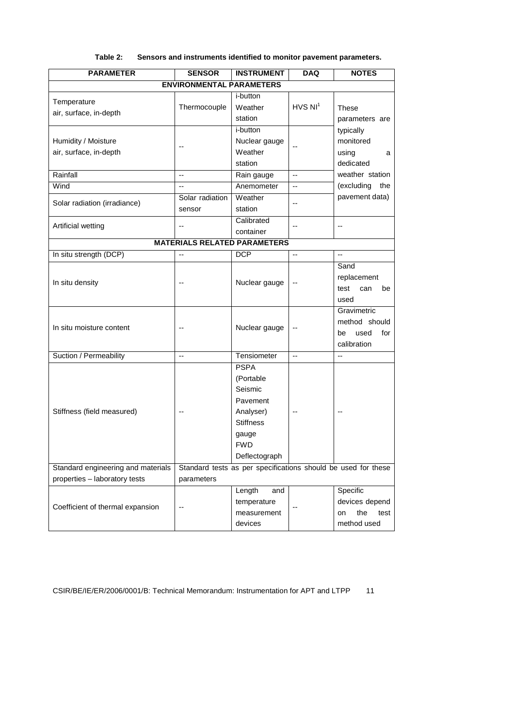| <b>PARAMETER</b>                              | <b>SENSOR</b>                                                 | <b>INSTRUMENT</b>                                                                                                        | <b>DAQ</b>               | <b>NOTES</b>                                                     |  |  |
|-----------------------------------------------|---------------------------------------------------------------|--------------------------------------------------------------------------------------------------------------------------|--------------------------|------------------------------------------------------------------|--|--|
|                                               | <b>ENVIRONMENTAL PARAMETERS</b>                               |                                                                                                                          |                          |                                                                  |  |  |
| Temperature<br>air, surface, in-depth         | Thermocouple                                                  | i-button<br>Weather<br>station                                                                                           | HVS NI <sup>1</sup>      | These<br>parameters are                                          |  |  |
| Humidity / Moisture<br>air, surface, in-depth |                                                               | i-button<br>Nuclear gauge<br>Weather<br>station                                                                          |                          | typically<br>monitored<br>using<br>a<br>dedicated                |  |  |
| Rainfall                                      | $\overline{\phantom{a}}$                                      | Rain gauge                                                                                                               | $\overline{\phantom{a}}$ | weather station                                                  |  |  |
| Wind                                          | $\overline{a}$                                                | Anemometer                                                                                                               | $\overline{\phantom{a}}$ | (excluding<br>the                                                |  |  |
| Solar radiation (irradiance)                  | Solar radiation<br>sensor                                     | Weather<br>station                                                                                                       | $\overline{a}$           | pavement data)                                                   |  |  |
| Artificial wetting                            | $-$                                                           | Calibrated<br>container                                                                                                  | --                       | $\overline{a}$                                                   |  |  |
|                                               |                                                               | <b>MATERIALS RELATED PARAMETERS</b>                                                                                      |                          |                                                                  |  |  |
| In situ strength (DCP)                        | Ξ.                                                            | <b>DCP</b>                                                                                                               | $\overline{\phantom{a}}$ | $\overline{a}$                                                   |  |  |
| In situ density                               |                                                               | Nuclear gauge                                                                                                            |                          | Sand<br>replacement<br>test<br>can<br>be<br>used                 |  |  |
| In situ moisture content                      | $\overline{a}$                                                | Nuclear gauge                                                                                                            | --                       | Gravimetric<br>method should<br>be<br>used<br>for<br>calibration |  |  |
| Suction / Permeability                        | $\overline{\phantom{a}}$                                      | Tensiometer                                                                                                              | $\overline{a}$           | $\overline{a}$                                                   |  |  |
| Stiffness (field measured)                    |                                                               | <b>PSPA</b><br>(Portable<br>Seismic<br>Pavement<br>Analyser)<br><b>Stiffness</b><br>gauge<br><b>FWD</b><br>Deflectograph |                          |                                                                  |  |  |
| Standard engineering and materials            | Standard tests as per specifications should be used for these |                                                                                                                          |                          |                                                                  |  |  |
| properties - laboratory tests                 | parameters                                                    |                                                                                                                          |                          |                                                                  |  |  |
| Coefficient of thermal expansion              | --                                                            | Length<br>and<br>temperature<br>measurement<br>devices                                                                   | --                       | Specific<br>devices depend<br>the<br>test<br>on<br>method used   |  |  |

#### **Table 2: Sensors and instruments identified to monitor pavement parameters.**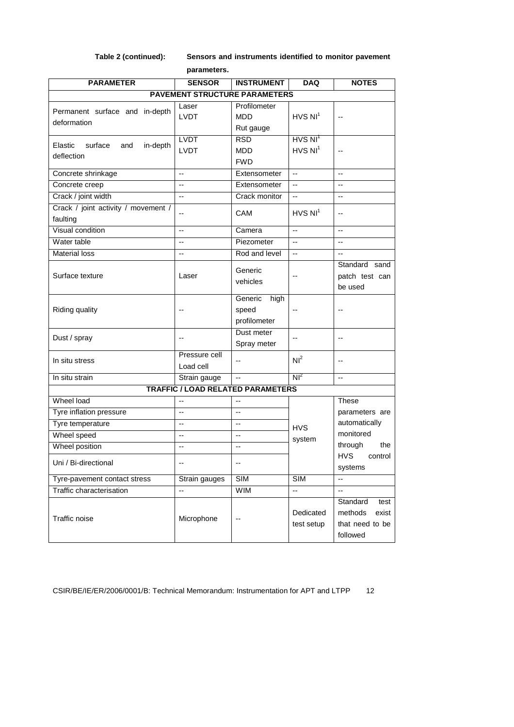**Table 2 (continued): Sensors and instruments identified to monitor pavement parameters.** 

| <b>PARAMETER</b>                      | <b>SENSOR</b>            | <b>INSTRUMENT</b>                        | <b>DAQ</b>               | <b>NOTES</b>             |
|---------------------------------------|--------------------------|------------------------------------------|--------------------------|--------------------------|
|                                       |                          |                                          |                          |                          |
|                                       |                          | <b>PAVEMENT STRUCTURE PARAMETERS</b>     |                          |                          |
| Permanent surface and in-depth        | Laser                    | Profilometer                             | $HVS$ $NI^1$             |                          |
| deformation                           | <b>LVDT</b>              | <b>MDD</b>                               |                          | $\overline{a}$           |
|                                       |                          | Rut gauge                                |                          |                          |
| surface<br>in-depth<br>Elastic<br>and | <b>LVDT</b>              | <b>RSD</b>                               | $HVS$ $NI^1$             |                          |
| deflection                            | <b>LVDT</b>              | <b>MDD</b>                               | $HVS$ $NI^1$             | $\overline{a}$           |
|                                       |                          | <b>FWD</b>                               |                          |                          |
| Concrete shrinkage                    | $\overline{\phantom{a}}$ | Extensometer                             | $\overline{\phantom{a}}$ | $\overline{\phantom{a}}$ |
| Concrete creep                        | u.                       | Extensometer                             | $\mathbf{u}$             | $\sim$                   |
| Crack / joint width                   | $\sim$                   | Crack monitor                            | $\overline{a}$           | $\overline{a}$           |
| Crack / joint activity / movement /   | --                       | CAM                                      | $HVS$ $NI1$              | $\overline{\phantom{a}}$ |
| faulting                              |                          |                                          |                          |                          |
| Visual condition                      | $\overline{\phantom{a}}$ | Camera                                   | u.                       | $\overline{a}$           |
| Water table                           | $\overline{\phantom{a}}$ | Piezometer                               | $\sim$                   | $\overline{\phantom{a}}$ |
| <b>Material loss</b>                  |                          | Rod and level                            | $\overline{a}$           | $\overline{a}$           |
|                                       |                          | Generic                                  |                          | Standard sand            |
| Surface texture                       | Laser                    | vehicles                                 | --                       | patch test can           |
|                                       |                          |                                          |                          | be used                  |
|                                       |                          | Generic<br>high                          |                          |                          |
| <b>Riding quality</b>                 |                          | speed                                    | $-$                      |                          |
|                                       |                          | profilometer                             |                          |                          |
|                                       |                          | Dust meter                               |                          |                          |
| Dust / spray                          | $\overline{\phantom{a}}$ | Spray meter                              | $\overline{\phantom{a}}$ | $\overline{\phantom{a}}$ |
|                                       | Pressure cell            |                                          | NI <sup>2</sup>          |                          |
| In situ stress                        | Load cell                | --                                       |                          | $\overline{\phantom{a}}$ |
| In situ strain                        | Strain gauge             | Ξ.                                       | $Nl^2$                   | $\overline{a}$           |
|                                       |                          | <b>TRAFFIC / LOAD RELATED PARAMETERS</b> |                          |                          |
| Wheel load                            | $\overline{a}$           | --                                       |                          | These                    |
| Tyre inflation pressure               | $\overline{a}$           | $\overline{a}$                           |                          | parameters are           |
| Tyre temperature                      | $\overline{\phantom{a}}$ | $\overline{a}$                           |                          | automatically            |
| Wheel speed                           | $\overline{\phantom{a}}$ | --                                       | <b>HVS</b>               | monitored                |
| Wheel position                        | $\overline{a}$           | $\overline{\phantom{a}}$                 | system                   | through<br>the           |
|                                       |                          |                                          |                          | <b>HVS</b><br>control    |
| Uni / Bi-directional                  | $\overline{\phantom{a}}$ | --                                       |                          | systems                  |
| Tyre-pavement contact stress          | Strain gauges            | SIM                                      | <b>SIM</b>               | $\overline{\phantom{a}}$ |
| Traffic characterisation              | $\overline{a}$           | <b>WIM</b>                               | Ξ.                       | Ξ.                       |
|                                       |                          |                                          |                          | Standard<br>test         |
|                                       |                          |                                          | Dedicated<br>test setup  | methods<br>exist         |
| Traffic noise                         | Microphone               |                                          |                          | that need to be          |
|                                       |                          |                                          |                          | followed                 |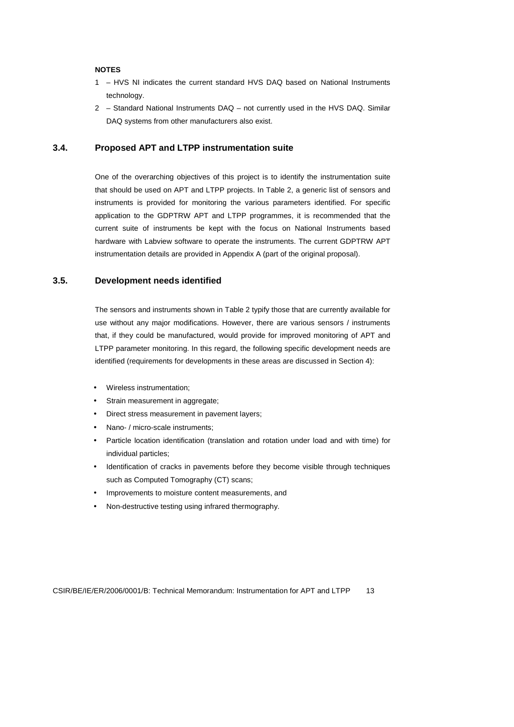#### **NOTES**

- 1 HVS NI indicates the current standard HVS DAQ based on National Instruments technology.
- 2 Standard National Instruments DAQ not currently used in the HVS DAQ. Similar DAQ systems from other manufacturers also exist.

#### **3.4. Proposed APT and LTPP instrumentation suite**

One of the overarching objectives of this project is to identify the instrumentation suite that should be used on APT and LTPP projects. In Table 2, a generic list of sensors and instruments is provided for monitoring the various parameters identified. For specific application to the GDPTRW APT and LTPP programmes, it is recommended that the current suite of instruments be kept with the focus on National Instruments based hardware with Labview software to operate the instruments. The current GDPTRW APT instrumentation details are provided in Appendix A (part of the original proposal).

### **3.5. Development needs identified**

The sensors and instruments shown in Table 2 typify those that are currently available for use without any major modifications. However, there are various sensors / instruments that, if they could be manufactured, would provide for improved monitoring of APT and LTPP parameter monitoring. In this regard, the following specific development needs are identified (requirements for developments in these areas are discussed in Section 4):

- Wireless instrumentation;
- Strain measurement in aggregate;
- Direct stress measurement in pavement layers;
- Nano- / micro-scale instruments;
- Particle location identification (translation and rotation under load and with time) for individual particles;
- Identification of cracks in pavements before they become visible through techniques such as Computed Tomography (CT) scans;
- Improvements to moisture content measurements, and
- Non-destructive testing using infrared thermography.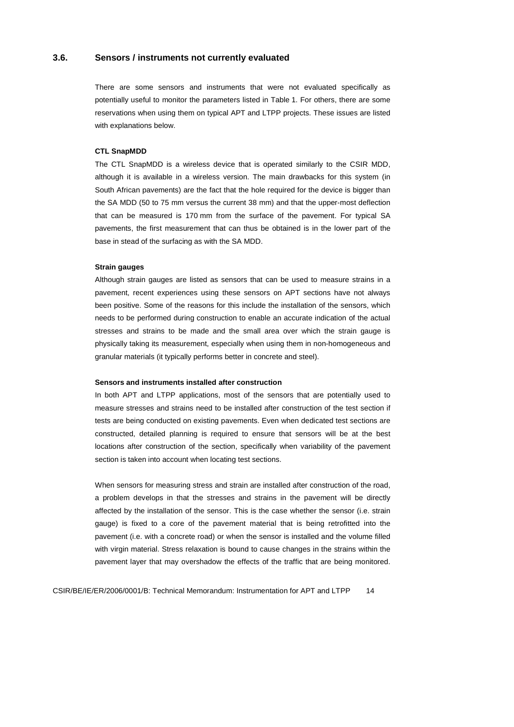#### **3.6. Sensors / instruments not currently evaluated**

There are some sensors and instruments that were not evaluated specifically as potentially useful to monitor the parameters listed in Table 1. For others, there are some reservations when using them on typical APT and LTPP projects. These issues are listed with explanations below.

#### **CTL SnapMDD**

The CTL SnapMDD is a wireless device that is operated similarly to the CSIR MDD, although it is available in a wireless version. The main drawbacks for this system (in South African pavements) are the fact that the hole required for the device is bigger than the SA MDD (50 to 75 mm versus the current 38 mm) and that the upper-most deflection that can be measured is 170 mm from the surface of the pavement. For typical SA pavements, the first measurement that can thus be obtained is in the lower part of the base in stead of the surfacing as with the SA MDD.

#### **Strain gauges**

Although strain gauges are listed as sensors that can be used to measure strains in a pavement, recent experiences using these sensors on APT sections have not always been positive. Some of the reasons for this include the installation of the sensors, which needs to be performed during construction to enable an accurate indication of the actual stresses and strains to be made and the small area over which the strain gauge is physically taking its measurement, especially when using them in non-homogeneous and granular materials (it typically performs better in concrete and steel).

#### **Sensors and instruments installed after construction**

In both APT and LTPP applications, most of the sensors that are potentially used to measure stresses and strains need to be installed after construction of the test section if tests are being conducted on existing pavements. Even when dedicated test sections are constructed, detailed planning is required to ensure that sensors will be at the best locations after construction of the section, specifically when variability of the pavement section is taken into account when locating test sections.

When sensors for measuring stress and strain are installed after construction of the road, a problem develops in that the stresses and strains in the pavement will be directly affected by the installation of the sensor. This is the case whether the sensor (i.e. strain gauge) is fixed to a core of the pavement material that is being retrofitted into the pavement (i.e. with a concrete road) or when the sensor is installed and the volume filled with virgin material. Stress relaxation is bound to cause changes in the strains within the pavement layer that may overshadow the effects of the traffic that are being monitored.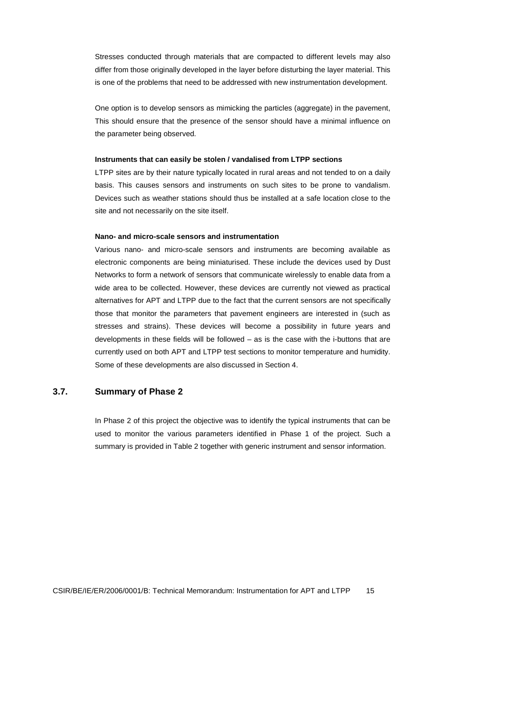Stresses conducted through materials that are compacted to different levels may also differ from those originally developed in the layer before disturbing the layer material. This is one of the problems that need to be addressed with new instrumentation development.

One option is to develop sensors as mimicking the particles (aggregate) in the pavement, This should ensure that the presence of the sensor should have a minimal influence on the parameter being observed.

#### **Instruments that can easily be stolen / vandalised from LTPP sections**

LTPP sites are by their nature typically located in rural areas and not tended to on a daily basis. This causes sensors and instruments on such sites to be prone to vandalism. Devices such as weather stations should thus be installed at a safe location close to the site and not necessarily on the site itself.

#### **Nano- and micro-scale sensors and instrumentation**

Various nano- and micro-scale sensors and instruments are becoming available as electronic components are being miniaturised. These include the devices used by Dust Networks to form a network of sensors that communicate wirelessly to enable data from a wide area to be collected. However, these devices are currently not viewed as practical alternatives for APT and LTPP due to the fact that the current sensors are not specifically those that monitor the parameters that pavement engineers are interested in (such as stresses and strains). These devices will become a possibility in future years and developments in these fields will be followed – as is the case with the i-buttons that are currently used on both APT and LTPP test sections to monitor temperature and humidity. Some of these developments are also discussed in Section 4.

### **3.7. Summary of Phase 2**

In Phase 2 of this project the objective was to identify the typical instruments that can be used to monitor the various parameters identified in Phase 1 of the project. Such a summary is provided in Table 2 together with generic instrument and sensor information.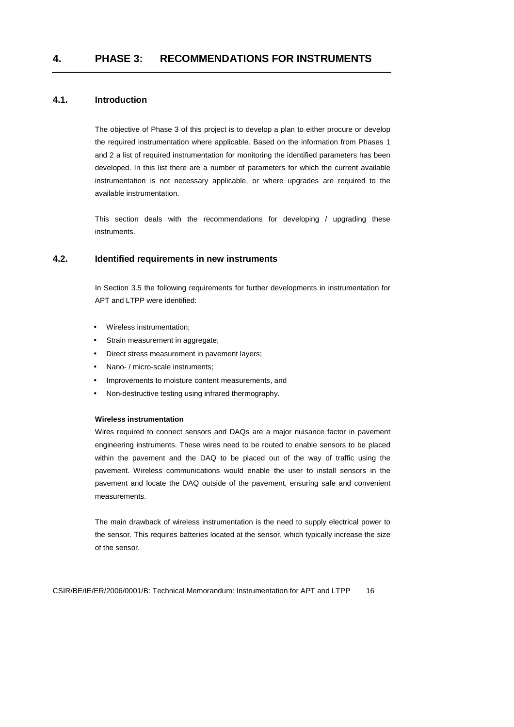### **4.1. Introduction**

The objective of Phase 3 of this project is to develop a plan to either procure or develop the required instrumentation where applicable. Based on the information from Phases 1 and 2 a list of required instrumentation for monitoring the identified parameters has been developed. In this list there are a number of parameters for which the current available instrumentation is not necessary applicable, or where upgrades are required to the available instrumentation.

This section deals with the recommendations for developing / upgrading these instruments.

#### **4.2. Identified requirements in new instruments**

In Section 3.5 the following requirements for further developments in instrumentation for APT and LTPP were identified:

- Wireless instrumentation;
- Strain measurement in aggregate;
- Direct stress measurement in pavement layers;
- Nano- / micro-scale instruments:
- Improvements to moisture content measurements, and
- Non-destructive testing using infrared thermography.

#### **Wireless instrumentation**

Wires required to connect sensors and DAQs are a major nuisance factor in pavement engineering instruments. These wires need to be routed to enable sensors to be placed within the pavement and the DAQ to be placed out of the way of traffic using the pavement. Wireless communications would enable the user to install sensors in the pavement and locate the DAQ outside of the pavement, ensuring safe and convenient measurements.

The main drawback of wireless instrumentation is the need to supply electrical power to the sensor. This requires batteries located at the sensor, which typically increase the size of the sensor.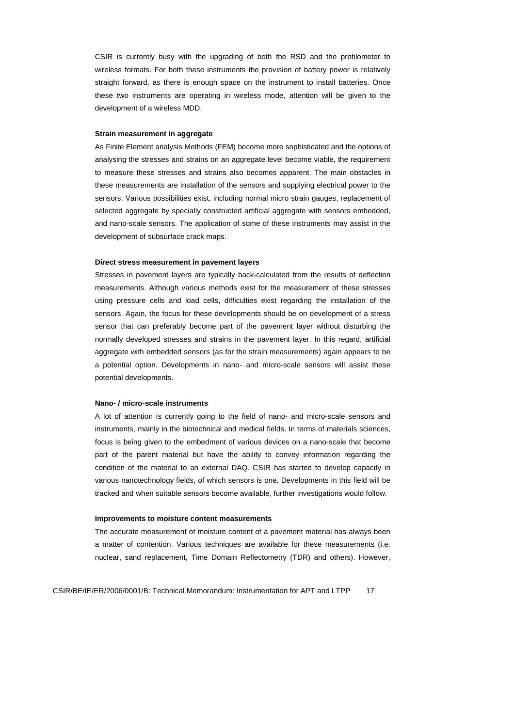CSIR is currently busy with the upgrading of both the RSD and the profilometer to wireless formats. For both these instruments the provision of battery power is relatively straight forward, as there is enough space on the instrument to install batteries. Once these two instruments are operating in wireless mode, attention will be given to the development of a wireless MDD.

#### **Strain measurement in aggregate**

As Finite Element analysis Methods (FEM) become more sophisticated and the options of analysing the stresses and strains on an aggregate level become viable, the requirement to measure these stresses and strains also becomes apparent. The main obstacles in these measurements are installation of the sensors and supplying electrical power to the sensors. Various possibilities exist, including normal micro strain gauges, replacement of selected aggregate by specially constructed artificial aggregate with sensors embedded, and nano-scale sensors. The application of some of these instruments may assist in the development of subsurface crack maps.

#### **Direct stress measurement in pavement layers**

Stresses in pavement layers are typically back-calculated from the results of deflection measurements. Although various methods exist for the measurement of these stresses using pressure cells and load cells, difficulties exist regarding the installation of the sensors. Again, the focus for these developments should be on development of a stress sensor that can preferably become part of the pavement layer without disturbing the normally developed stresses and strains in the pavement layer. In this regard, artificial aggregate with embedded sensors (as for the strain measurements) again appears to be a potential option. Developments in nano- and micro-scale sensors will assist these potential developments.

#### **Nano- / micro-scale instruments**

A lot of attention is currently going to the field of nano- and micro-scale sensors and instruments, mainly in the biotechnical and medical fields. In terms of materials sciences, focus is being given to the embedment of various devices on a nano-scale that become part of the parent material but have the ability to convey information regarding the condition of the material to an external DAQ. CSIR has started to develop capacity in various nanotechnology fields, of which sensors is one. Developments in this field will be tracked and when suitable sensors become available, further investigations would follow.

#### **Improvements to moisture content measurements**

The accurate measurement of moisture content of a pavement material has always been a matter of contention. Various techniques are available for these measurements (i.e. nuclear, sand replacement, Time Domain Reflectometry (TDR) and others). However,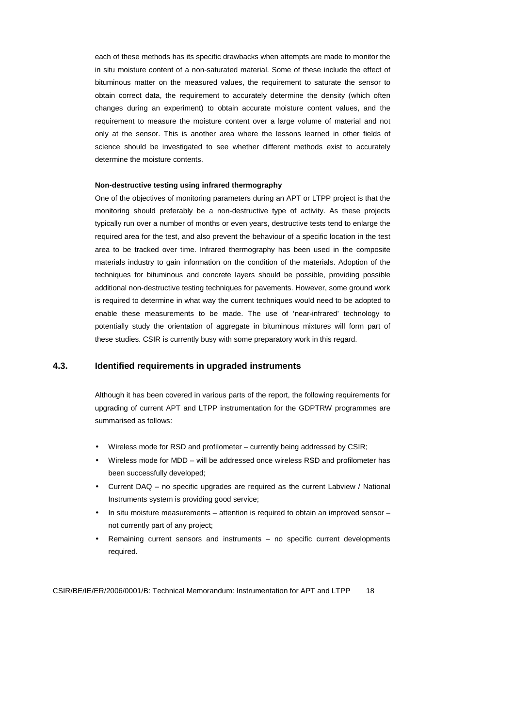each of these methods has its specific drawbacks when attempts are made to monitor the in situ moisture content of a non-saturated material. Some of these include the effect of bituminous matter on the measured values, the requirement to saturate the sensor to obtain correct data, the requirement to accurately determine the density (which often changes during an experiment) to obtain accurate moisture content values, and the requirement to measure the moisture content over a large volume of material and not only at the sensor. This is another area where the lessons learned in other fields of science should be investigated to see whether different methods exist to accurately determine the moisture contents.

#### **Non-destructive testing using infrared thermography**

One of the objectives of monitoring parameters during an APT or LTPP project is that the monitoring should preferably be a non-destructive type of activity. As these projects typically run over a number of months or even years, destructive tests tend to enlarge the required area for the test, and also prevent the behaviour of a specific location in the test area to be tracked over time. Infrared thermography has been used in the composite materials industry to gain information on the condition of the materials. Adoption of the techniques for bituminous and concrete layers should be possible, providing possible additional non-destructive testing techniques for pavements. However, some ground work is required to determine in what way the current techniques would need to be adopted to enable these measurements to be made. The use of 'near-infrared' technology to potentially study the orientation of aggregate in bituminous mixtures will form part of these studies. CSIR is currently busy with some preparatory work in this regard.

#### **4.3. Identified requirements in upgraded instruments**

Although it has been covered in various parts of the report, the following requirements for upgrading of current APT and LTPP instrumentation for the GDPTRW programmes are summarised as follows:

- Wireless mode for RSD and profilometer currently being addressed by CSIR;
- Wireless mode for MDD will be addressed once wireless RSD and profilometer has been successfully developed;
- Current DAQ no specific upgrades are required as the current Labview / National Instruments system is providing good service;
- In situ moisture measurements attention is required to obtain an improved sensor not currently part of any project;
- Remaining current sensors and instruments no specific current developments required.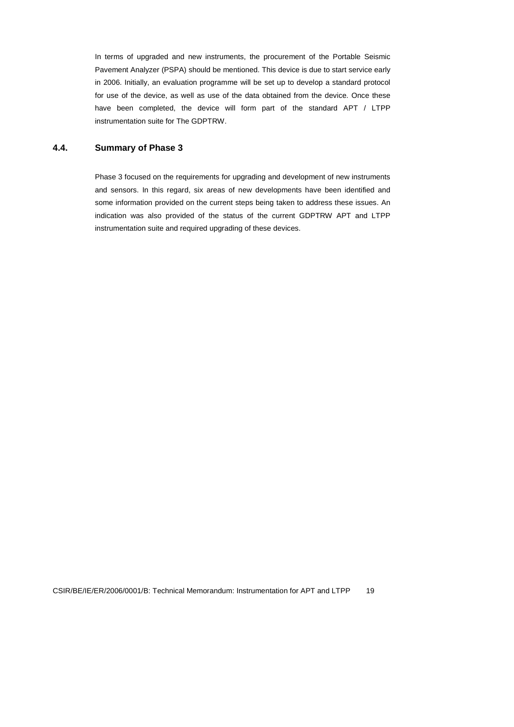In terms of upgraded and new instruments, the procurement of the Portable Seismic Pavement Analyzer (PSPA) should be mentioned. This device is due to start service early in 2006. Initially, an evaluation programme will be set up to develop a standard protocol for use of the device, as well as use of the data obtained from the device. Once these have been completed, the device will form part of the standard APT / LTPP instrumentation suite for The GDPTRW.

#### **4.4. Summary of Phase 3**

Phase 3 focused on the requirements for upgrading and development of new instruments and sensors. In this regard, six areas of new developments have been identified and some information provided on the current steps being taken to address these issues. An indication was also provided of the status of the current GDPTRW APT and LTPP instrumentation suite and required upgrading of these devices.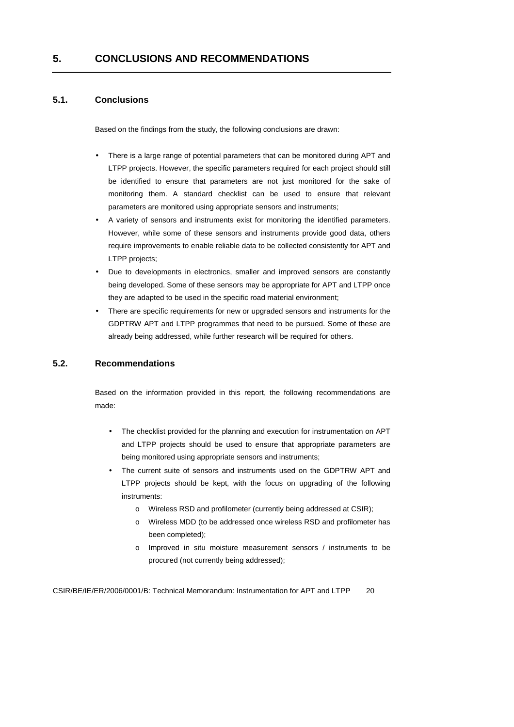### **5.1. Conclusions**

Based on the findings from the study, the following conclusions are drawn:

- There is a large range of potential parameters that can be monitored during APT and LTPP projects. However, the specific parameters required for each project should still be identified to ensure that parameters are not just monitored for the sake of monitoring them. A standard checklist can be used to ensure that relevant parameters are monitored using appropriate sensors and instruments;
- A variety of sensors and instruments exist for monitoring the identified parameters. However, while some of these sensors and instruments provide good data, others require improvements to enable reliable data to be collected consistently for APT and LTPP projects;
- Due to developments in electronics, smaller and improved sensors are constantly being developed. Some of these sensors may be appropriate for APT and LTPP once they are adapted to be used in the specific road material environment;
- There are specific requirements for new or upgraded sensors and instruments for the GDPTRW APT and LTPP programmes that need to be pursued. Some of these are already being addressed, while further research will be required for others.

### **5.2. Recommendations**

Based on the information provided in this report, the following recommendations are made:

- The checklist provided for the planning and execution for instrumentation on APT and LTPP projects should be used to ensure that appropriate parameters are being monitored using appropriate sensors and instruments;
- The current suite of sensors and instruments used on the GDPTRW APT and LTPP projects should be kept, with the focus on upgrading of the following instruments:
	- o Wireless RSD and profilometer (currently being addressed at CSIR);
	- o Wireless MDD (to be addressed once wireless RSD and profilometer has been completed);
	- o Improved in situ moisture measurement sensors / instruments to be procured (not currently being addressed);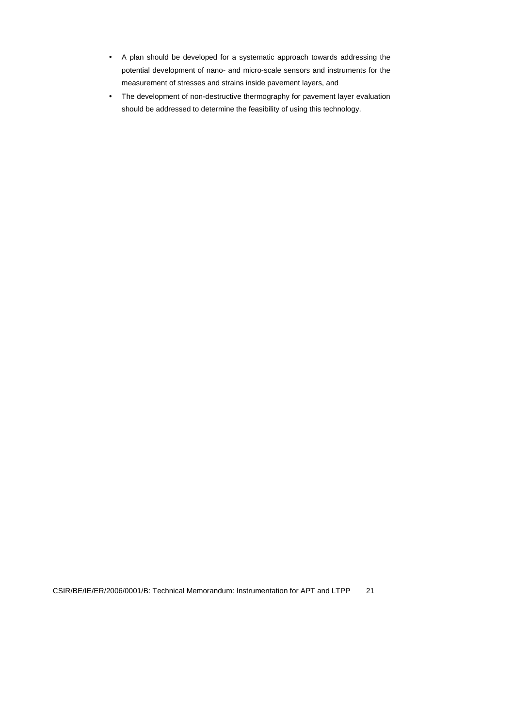- A plan should be developed for a systematic approach towards addressing the potential development of nano- and micro-scale sensors and instruments for the measurement of stresses and strains inside pavement layers, and
- The development of non-destructive thermography for pavement layer evaluation should be addressed to determine the feasibility of using this technology.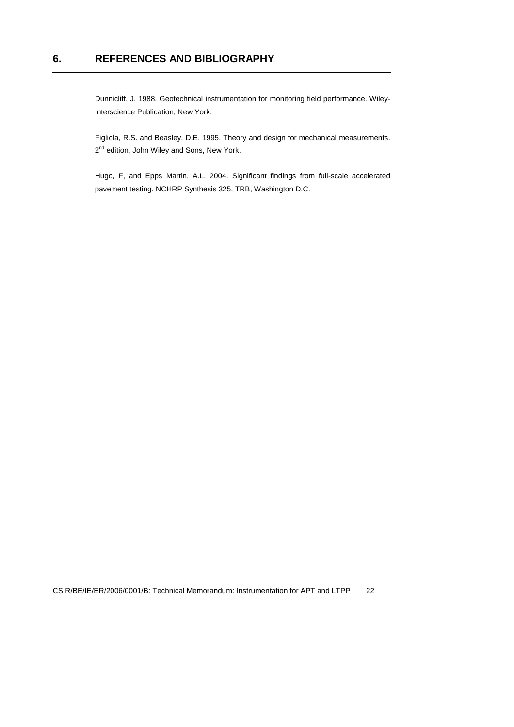Dunnicliff, J. 1988. Geotechnical instrumentation for monitoring field performance. Wiley-Interscience Publication, New York.

Figliola, R.S. and Beasley, D.E. 1995. Theory and design for mechanical measurements. 2<sup>nd</sup> edition, John Wiley and Sons, New York.

Hugo, F, and Epps Martin, A.L. 2004. Significant findings from full-scale accelerated pavement testing. NCHRP Synthesis 325, TRB, Washington D.C.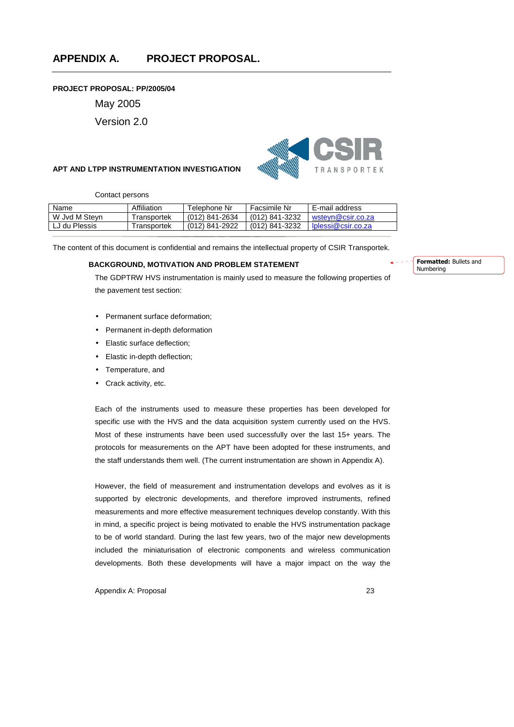#### **PROJECT PROPOSAL: PP/2005/04**

May 2005

Version 2.0

#### **APT AND LTPP INSTRUMENTATION INVESTIGATION**



Contact persons

| Name          | Affiliation             | Telephone Nr   | Facsimile Nr   | E-mail address     |
|---------------|-------------------------|----------------|----------------|--------------------|
| W Jvd M Stevn | 「ransportek             | (012) 841-2634 | (012) 841-3232 | wstevn@csir.co.za  |
| LJ du Plessis | <sup>-</sup> ransportek | (012) 841-2922 | (012) 841-3232 | lplessi@csir.co.za |

The content of this document is confidential and remains the intellectual property of CSIR Transportek.

#### **BACKGROUND, MOTIVATION AND PROBLEM STATEMENT**

Formatted: Bullets and Numbering

The GDPTRW HVS instrumentation is mainly used to measure the following properties of the pavement test section:

- Permanent surface deformation;
- Permanent in-depth deformation
- Elastic surface deflection;
- Elastic in-depth deflection;
- Temperature, and
- Crack activity, etc.

Each of the instruments used to measure these properties has been developed for specific use with the HVS and the data acquisition system currently used on the HVS. Most of these instruments have been used successfully over the last 15+ years. The protocols for measurements on the APT have been adopted for these instruments, and the staff understands them well. (The current instrumentation are shown in Appendix A).

However, the field of measurement and instrumentation develops and evolves as it is supported by electronic developments, and therefore improved instruments, refined measurements and more effective measurement techniques develop constantly. With this in mind, a specific project is being motivated to enable the HVS instrumentation package to be of world standard. During the last few years, two of the major new developments included the miniaturisation of electronic components and wireless communication developments. Both these developments will have a major impact on the way the

Appendix A: Proposal 23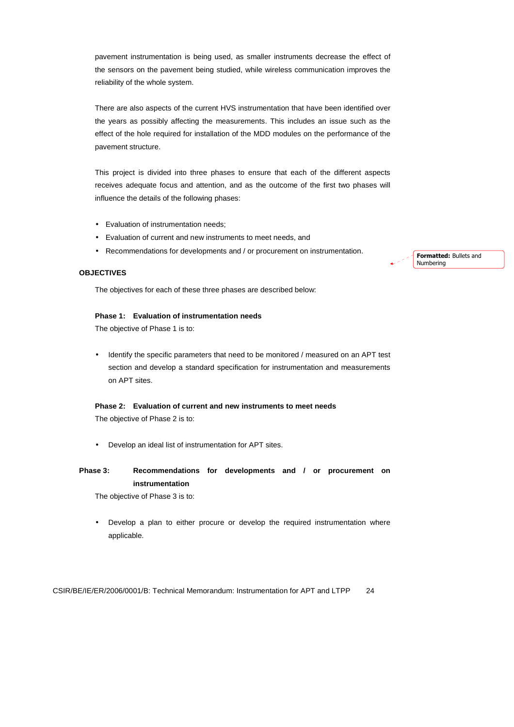pavement instrumentation is being used, as smaller instruments decrease the effect of the sensors on the pavement being studied, while wireless communication improves the reliability of the whole system.

There are also aspects of the current HVS instrumentation that have been identified over the years as possibly affecting the measurements. This includes an issue such as the effect of the hole required for installation of the MDD modules on the performance of the pavement structure.

This project is divided into three phases to ensure that each of the different aspects receives adequate focus and attention, and as the outcome of the first two phases will influence the details of the following phases:

- Evaluation of instrumentation needs;
- Evaluation of current and new instruments to meet needs, and
- Recommendations for developments and / or procurement on instrumentation.

#### **OBJECTIVES**

The objectives for each of these three phases are described below:

#### **Phase 1: Evaluation of instrumentation needs**

The objective of Phase 1 is to:

• Identify the specific parameters that need to be monitored / measured on an APT test section and develop a standard specification for instrumentation and measurements on APT sites.

#### **Phase 2: Evaluation of current and new instruments to meet needs**  The objective of Phase 2 is to:

• Develop an ideal list of instrumentation for APT sites.

### **Phase 3: Recommendations for developments and / or procurement on instrumentation**

The objective of Phase 3 is to:

Develop a plan to either procure or develop the required instrumentation where applicable.

CSIR/BE/IE/ER/2006/0001/B: Technical Memorandum: Instrumentation for APT and LTPP 24

Formatted: Bullets and Numbering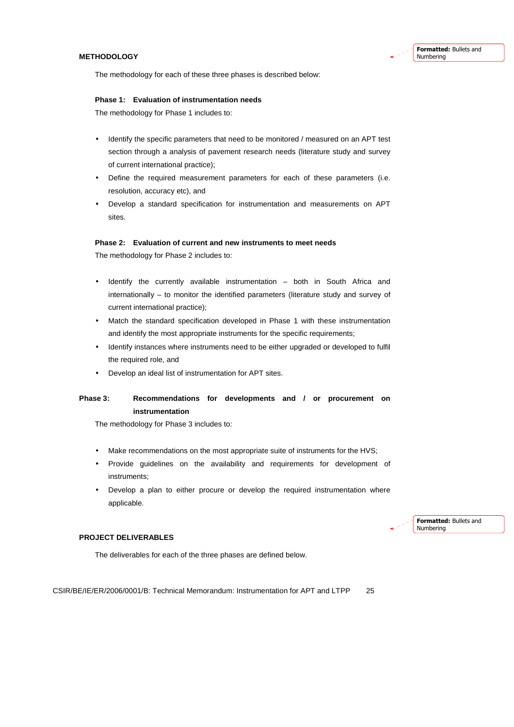#### **METHODOLOGY**

The methodology for each of these three phases is described below:

#### **Phase 1: Evaluation of instrumentation needs**

The methodology for Phase 1 includes to:

- Identify the specific parameters that need to be monitored / measured on an APT test section through a analysis of pavement research needs (literature study and survey of current international practice);
- Define the required measurement parameters for each of these parameters (i.e. resolution, accuracy etc), and
- Develop a standard specification for instrumentation and measurements on APT sites.

#### **Phase 2: Evaluation of current and new instruments to meet needs**

The methodology for Phase 2 includes to:

- Identify the currently available instrumentation both in South Africa and internationally – to monitor the identified parameters (literature study and survey of current international practice);
- Match the standard specification developed in Phase 1 with these instrumentation and identify the most appropriate instruments for the specific requirements;
- Identify instances where instruments need to be either upgraded or developed to fulfil the required role, and
- Develop an ideal list of instrumentation for APT sites.

### **Phase 3: Recommendations for developments and / or procurement on instrumentation**

The methodology for Phase 3 includes to:

- Make recommendations on the most appropriate suite of instruments for the HVS;
- Provide guidelines on the availability and requirements for development of instruments;
- Develop a plan to either procure or develop the required instrumentation where applicable.

#### Formatted: Bullets and Numbering

#### **PROJECT DELIVERABLES**

The deliverables for each of the three phases are defined below.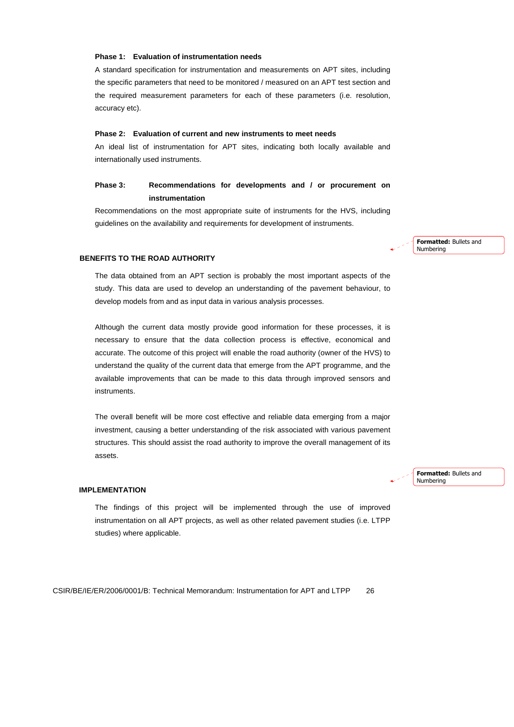#### **Phase 1: Evaluation of instrumentation needs**

A standard specification for instrumentation and measurements on APT sites, including the specific parameters that need to be monitored / measured on an APT test section and the required measurement parameters for each of these parameters (i.e. resolution, accuracy etc).

#### **Phase 2: Evaluation of current and new instruments to meet needs**

An ideal list of instrumentation for APT sites, indicating both locally available and internationally used instruments.

### **Phase 3: Recommendations for developments and / or procurement on instrumentation**

Recommendations on the most appropriate suite of instruments for the HVS, including guidelines on the availability and requirements for development of instruments.

> Formatted: Bullets and Numbering

#### **BENEFITS TO THE ROAD AUTHORITY**

The data obtained from an APT section is probably the most important aspects of the study. This data are used to develop an understanding of the pavement behaviour, to develop models from and as input data in various analysis processes.

Although the current data mostly provide good information for these processes, it is necessary to ensure that the data collection process is effective, economical and accurate. The outcome of this project will enable the road authority (owner of the HVS) to understand the quality of the current data that emerge from the APT programme, and the available improvements that can be made to this data through improved sensors and instruments.

The overall benefit will be more cost effective and reliable data emerging from a major investment, causing a better understanding of the risk associated with various pavement structures. This should assist the road authority to improve the overall management of its assets.

 **IMPLEMENTATION** 

The findings of this project will be implemented through the use of improved instrumentation on all APT projects, as well as other related pavement studies (i.e. LTPP studies) where applicable.

CSIR/BE/IE/ER/2006/0001/B: Technical Memorandum: Instrumentation for APT and LTPP 26

Formatted: Bullets and Numbering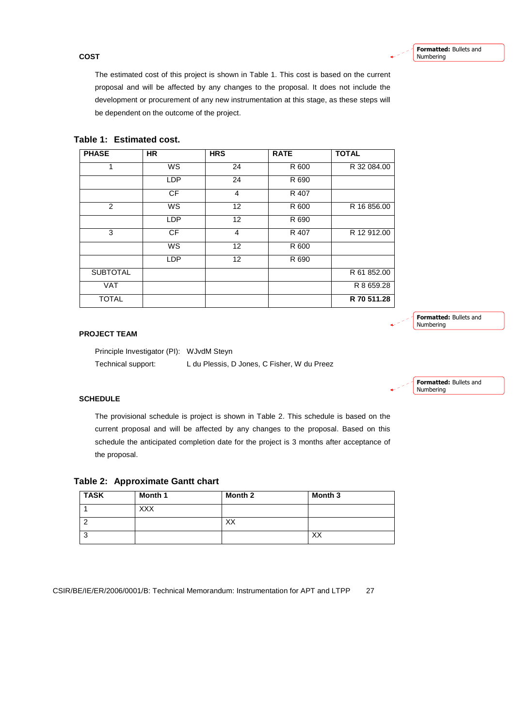#### **COST**

The estimated cost of this project is shown in Table 1. This cost is based on the current proposal and will be affected by any changes to the proposal. It does not include the development or procurement of any new instrumentation at this stage, as these steps will be dependent on the outcome of the project.

| <b>PHASE</b>    | <b>HR</b>  | <b>HRS</b>              | <b>RATE</b> | <b>TOTAL</b> |
|-----------------|------------|-------------------------|-------------|--------------|
| 1               | <b>WS</b>  | 24                      | R 600       | R 32 084.00  |
|                 | <b>LDP</b> | 24                      | R 690       |              |
|                 | <b>CF</b>  | $\overline{\mathbf{4}}$ | R 407       |              |
| $\overline{2}$  | <b>WS</b>  | 12                      | R 600       | R 16 856.00  |
|                 | <b>LDP</b> | 12                      | R 690       |              |
| 3               | <b>CF</b>  | 4                       | R 407       | R 12 912.00  |
|                 | WS         | 12                      | R 600       |              |
|                 | <b>LDP</b> | $12 \overline{ }$       | R 690       |              |
| <b>SUBTOTAL</b> |            |                         |             | R 61 852.00  |
| <b>VAT</b>      |            |                         |             | R 8 659.28   |
| <b>TOTAL</b>    |            |                         |             | R 70 511.28  |

### **Table 1: Estimated cost.**

#### **PROJECT TEAM**

Principle Investigator (PI): WJvdM Steyn Technical support: L du Plessis, D Jones, C Fisher, W du Preez

Formatted: Bullets and Numbering

Formatted: Bullets and

Numbering

#### **SCHEDULE**

The provisional schedule is project is shown in Table 2. This schedule is based on the current proposal and will be affected by any changes to the proposal. Based on this schedule the anticipated completion date for the project is 3 months after acceptance of the proposal.

| Table 2: Approximate Gantt chart |  |
|----------------------------------|--|
|----------------------------------|--|

| <b>TASK</b> | Month 1    | Month 2 | Month 3 |
|-------------|------------|---------|---------|
|             | <b>XXX</b> |         |         |
| r           |            | XX      |         |
| ູ<br>- 2    |            |         | XX      |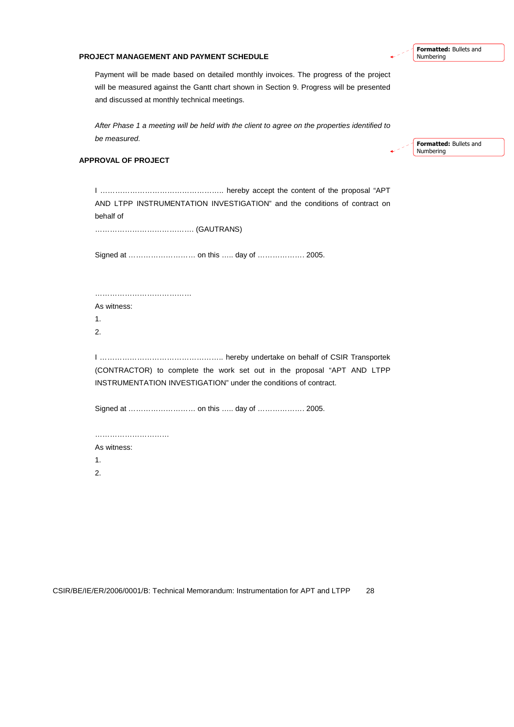#### **PROJECT MANAGEMENT AND PAYMENT SCHEDULE**

Payment will be made based on detailed monthly invoices. The progress of the project will be measured against the Gantt chart shown in Section 9. Progress will be presented and discussed at monthly technical meetings.

After Phase 1 a meeting will be held with the client to agree on the properties identified to be measured.

#### **APPROVAL OF PROJECT**

Formatted: Bullets and Numbering